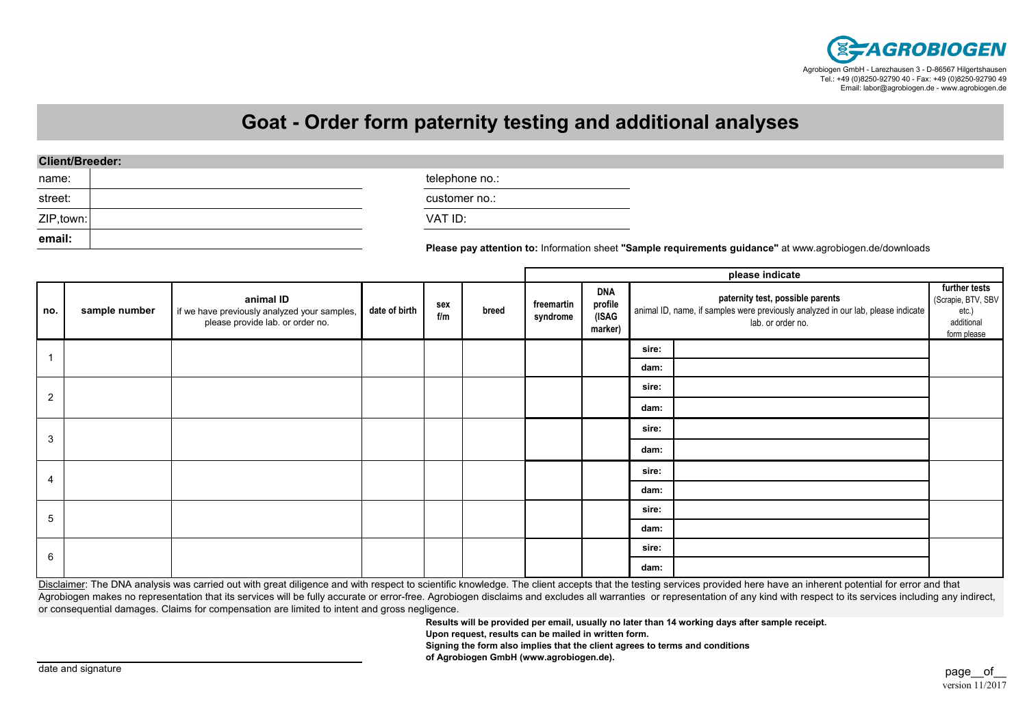

## **Goat - Order form paternity testing and additional analyses**

| name:      | telephone no.:                                                                                           |
|------------|----------------------------------------------------------------------------------------------------------|
| street:    | customer no.:                                                                                            |
| ZIP, town: | VAT ID:                                                                                                  |
| email:     | Please pay attention to: Information sheet "Sample requirements guidance" at www.agrobiogen.de/downloads |

**sire:dam:sire:dam:sire:dam:sire:dam:sire:dam:sire:dam:further tests** (Scrapie, BTV, SBV etc.) additional form please4**sample numberplease indicate**2**date of birth sex f/mno.animal ID** if we have previously analyzed your samples, please provide lab. or order no.**paternity test, possible parents** animal ID, name, if samples were previously analyzed in our lab, please indicate lab. or order no.**DNA profile (ISAG marker)freemartin syndrome**5613**breed**

Disclaimer: The DNA analysis was carried out with great diligence and with respect to scientific knowledge. The client accepts that the testing services provided here have an inherent potential for error and that Agrobiogen makes no representation that its services will be fully accurate or error-free. Agrobiogen disclaims and excludes all warranties or representation of any kind with respect to its services including any indirect, or consequential damages. Claims for compensation are limited to intent and gross negligence.

**Results will be provided per email, usually no later than 14 working days after sample receipt.**

**Upon request, results can be mailed in written form.**

**Signing the form also implies that the client agrees to terms and conditions**

**of Agrobiogen GmbH (www.agrobiogen.de).**